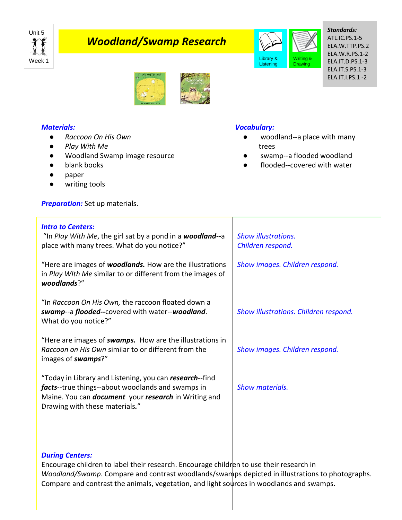

# *Woodland/Swamp Research*



*Standards:* ATL.IC.PS.1-5 ELA.W.TTP.PS.2 ELA.W.R.PS.1-2 ELA.IT.D.PS.1-3 ELA.IT.S.PS.1-3 ELA.IT.I.PS.1 -2



## *Materials:*

- *Raccoon On His Own*
- *Play With Me*
- Woodland Swamp image resource
- blank books
- paper
- writing tools

**Preparation:** Set up materials.

### *Intro to Centers:*

"In *Play With Me*, the girl sat by a pond in a *woodland--*a place with many trees. What do you notice?"

"Here are images of *woodlands.* How are the illustrations in *Play WIth Me* similar to or different from the images of *woodlands*?"

"In *Raccoon On His Own,* the raccoon floated down a *swamp*--a *flooded--*covered with water--*woodland*. What do you notice?"

"Here are images of *swamps.* How are the illustrations in *Raccoon on His Own* similar to or different from the images of *swamps*?"

"Today in Library and Listening, you can *research*--find *facts*--true things--about woodlands and swamps in Maine. You can *document* your *research* in Writing and Drawing with these materials*.*"

*Vocabulary:* woodland--a place with many

- trees
- swamp--a flooded woodland
- flooded--covered with water

*Show illustrations. Children respond.* 

*Show images. Children respond.*

*Show illustrations. Children respond.*

*Show images. Children respond.* 

*Show materials.*

#### *During Centers:*

Encourage children to label their research. Encourage children to use their research in *Woodland/Swamp*. Compare and contrast woodlands/swamps depicted in illustrations to photographs. Compare and contrast the animals, vegetation, and light sources in woodlands and swamps.